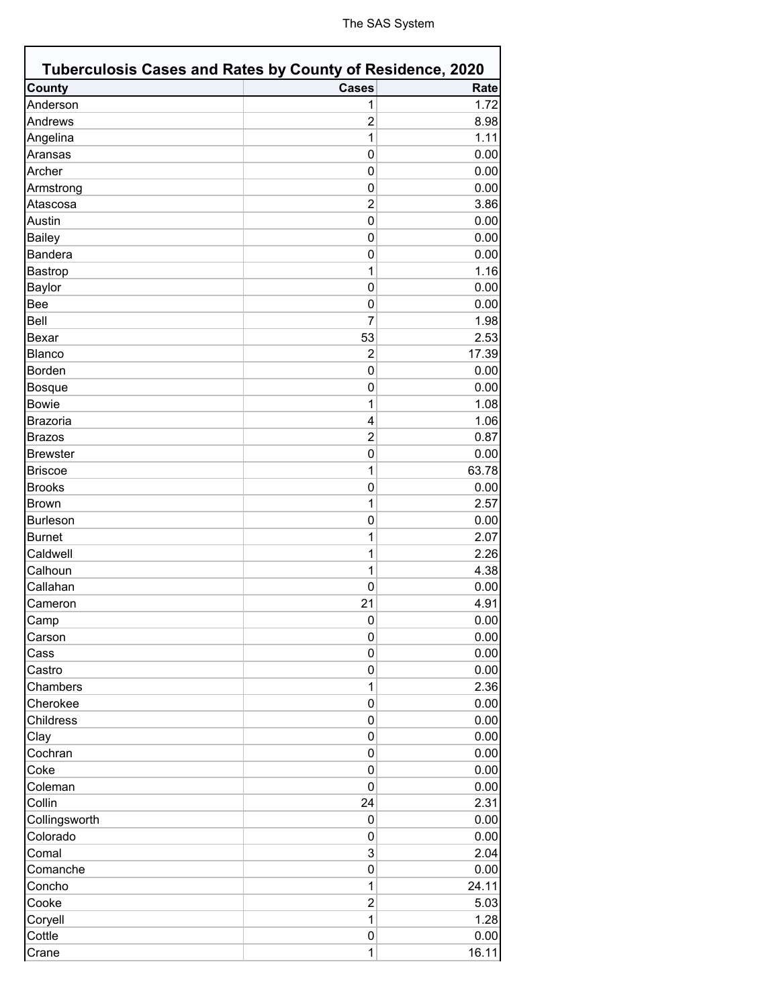| Tuberculosis Cases and Rates by County of Residence, 2020 |                         |       |
|-----------------------------------------------------------|-------------------------|-------|
| <b>County</b>                                             | <b>Cases</b>            | Rate  |
| Anderson                                                  | 1                       | 1.72  |
| Andrews                                                   | $\overline{2}$          | 8.98  |
| Angelina                                                  | 1                       | 1.11  |
| Aransas                                                   | 0                       | 0.00  |
| Archer                                                    | 0                       | 0.00  |
| Armstrong                                                 | $\mathbf{0}$            | 0.00  |
| Atascosa                                                  | $\overline{2}$          | 3.86  |
| Austin                                                    | 0                       | 0.00  |
| <b>Bailey</b>                                             | 0                       | 0.00  |
| <b>Bandera</b>                                            | 0                       | 0.00  |
| Bastrop                                                   | 1                       | 1.16  |
| <b>Baylor</b>                                             | 0                       | 0.00  |
| <b>Bee</b>                                                | 0                       | 0.00  |
| Bell                                                      | $\overline{7}$          | 1.98  |
| <b>Bexar</b>                                              | 53                      | 2.53  |
| <b>Blanco</b>                                             | $\overline{2}$          | 17.39 |
| <b>Borden</b>                                             | $\mathbf{0}$            | 0.00  |
| <b>Bosque</b>                                             | 0                       | 0.00  |
| <b>Bowie</b>                                              | 1                       | 1.08  |
| <b>Brazoria</b>                                           | $\overline{\mathbf{4}}$ | 1.06  |
| <b>Brazos</b>                                             | $\overline{2}$          | 0.87  |
| <b>Brewster</b>                                           | 0                       | 0.00  |
| <b>Briscoe</b>                                            | 1                       | 63.78 |
| <b>Brooks</b>                                             | 0                       | 0.00  |
| <b>Brown</b>                                              | 1                       | 2.57  |
| <b>Burleson</b>                                           | 0                       | 0.00  |
| <b>Burnet</b>                                             | 1                       | 2.07  |
| Caldwell                                                  | 1                       | 2.26  |
| Calhoun                                                   | 1                       | 4.38  |
| Callahan                                                  | 0                       | 0.00  |
|                                                           |                         |       |
| Cameron                                                   | 21                      | 4.91  |
| Camp                                                      | 0                       | 0.00  |
| Carson                                                    | 0                       | 0.00  |
| Cass                                                      | 0                       | 0.00  |
| Castro                                                    | 0                       | 0.00  |
| Chambers                                                  | $\mathbf{1}$            | 2.36  |
| Cherokee                                                  | 0                       | 0.00  |
| Childress                                                 | 0                       | 0.00  |
| Clay                                                      | 0                       | 0.00  |
| Cochran                                                   | 0                       | 0.00  |
| Coke                                                      | 0                       | 0.00  |
| Coleman                                                   | 0                       | 0.00  |
| Collin                                                    | 24                      | 2.31  |
| Collingsworth                                             | 0                       | 0.00  |
| Colorado                                                  | 0                       | 0.00  |
| Comal                                                     | 3                       | 2.04  |
| Comanche                                                  | 0                       | 0.00  |
| Concho                                                    | 1                       | 24.11 |
| Cooke                                                     | $\overline{c}$          | 5.03  |
| Coryell                                                   | $\mathbf{1}$            | 1.28  |
| Cottle                                                    | 0                       | 0.00  |
| Crane                                                     | $\mathbf{1}$            | 16.11 |
|                                                           |                         |       |

 $\Gamma$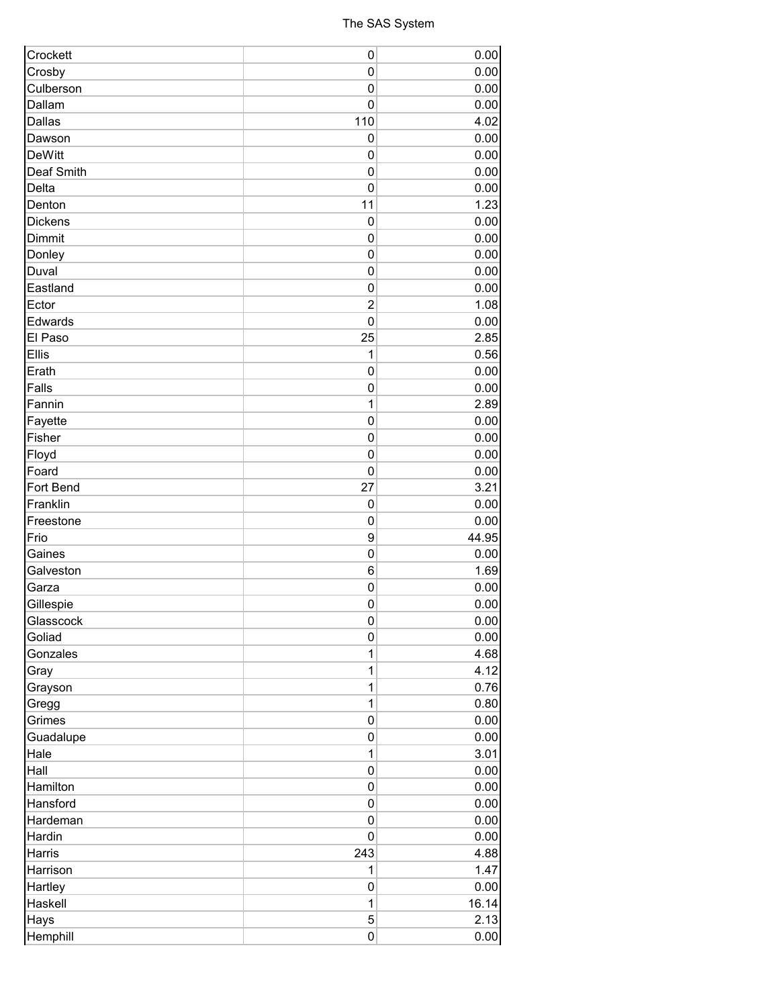| Crockett      | 0               | 0.00  |
|---------------|-----------------|-------|
| Crosby        | $\mathbf 0$     | 0.00  |
| Culberson     | $\mathbf 0$     | 0.00  |
| Dallam        | $\mathbf 0$     | 0.00  |
| Dallas        | 110             | 4.02  |
| Dawson        | $\mathbf 0$     | 0.00  |
| <b>DeWitt</b> | $\mathbf 0$     | 0.00  |
| Deaf Smith    | $\mathbf 0$     | 0.00  |
| Delta         | $\mathbf 0$     | 0.00  |
| Denton        | 11              | 1.23  |
| Dickens       | $\mathbf 0$     | 0.00  |
| Dimmit        | $\mathbf 0$     | 0.00  |
| Donley        | $\mathbf 0$     | 0.00  |
| Duval         | $\mathbf 0$     | 0.00  |
| Eastland      | 0               | 0.00  |
| Ector         | $\overline{2}$  | 1.08  |
| Edwards       | $\mathbf{0}$    | 0.00  |
| El Paso       | 25              | 2.85  |
| Ellis         | 1               | 0.56  |
| Erath         | $\pmb{0}$       | 0.00  |
| Falls         | $\mathbf 0$     | 0.00  |
| Fannin        | 1               | 2.89  |
| Fayette       | $\pmb{0}$       | 0.00  |
| Fisher        | $\mathbf 0$     | 0.00  |
| Floyd         | $\mathbf 0$     | 0.00  |
| Foard         | $\mathbf 0$     | 0.00  |
| Fort Bend     | 27              | 3.21  |
| Franklin      | $\mathbf 0$     | 0.00  |
| Freestone     | $\mathbf 0$     | 0.00  |
| Frio          | 9               | 44.95 |
| Gaines        | $\pmb{0}$       | 0.00  |
| Galveston     | $6\phantom{1}6$ | 1.69  |
| Garza         | $\mathbf 0$     | 0.00  |
| Gillespie     | 0               | 0.00  |
| Glasscock     | 0               | 0.00  |
| Goliad        | $\pmb{0}$       | 0.00  |
| Gonzales      | 1               | 4.68  |
| Gray          | 1               | 4.12  |
| Grayson       | 1               | 0.76  |
| Gregg         | $\mathbf{1}$    | 0.80  |
| Grimes        | $\pmb{0}$       | 0.00  |
| Guadalupe     | 0               | 0.00  |
| Hale          | $\mathbf{1}$    | 3.01  |
| Hall          | $\pmb{0}$       | 0.00  |
| Hamilton      | $\pmb{0}$       | 0.00  |
| Hansford      | 0               | 0.00  |
| Hardeman      | 0               | 0.00  |
| Hardin        | $\pmb{0}$       | 0.00  |
| Harris        | 243             | 4.88  |
| Harrison      | 1               | 1.47  |
| Hartley       | $\pmb{0}$       | 0.00  |
| Haskell       | $\mathbf{1}$    | 16.14 |
| Hays          | 5               | 2.13  |
| Hemphill      | 0               | 0.00  |
|               |                 |       |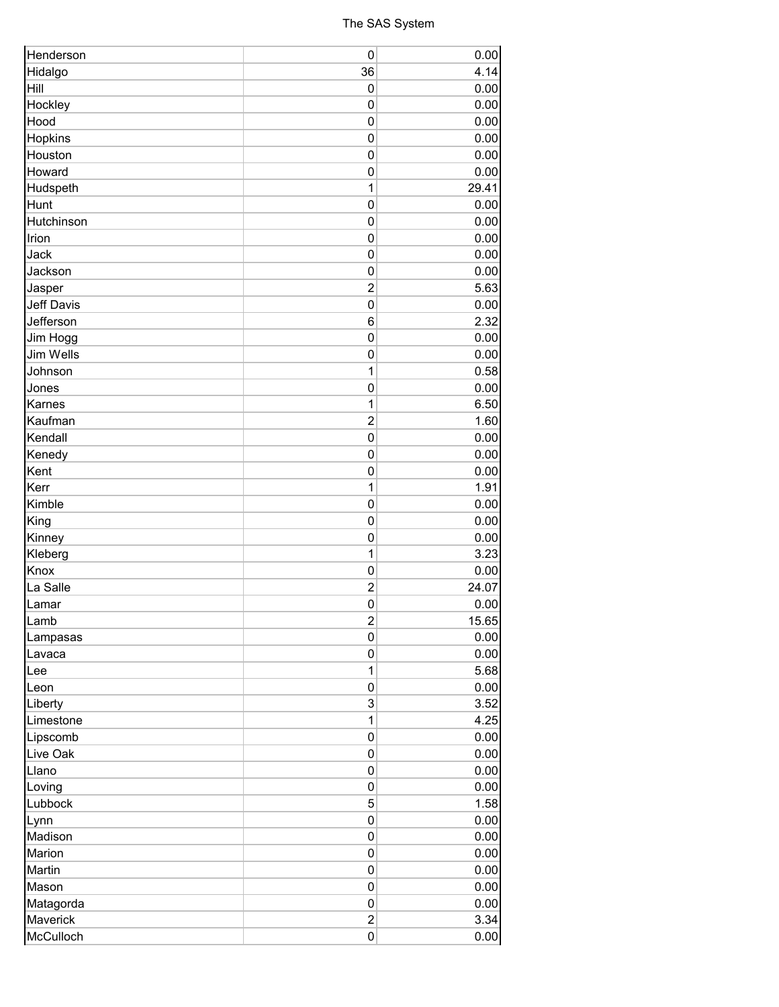## The SAS System

| Henderson         | $\mathbf 0$             | 0.00  |
|-------------------|-------------------------|-------|
| Hidalgo           | 36                      | 4.14  |
| Hill              | 0                       | 0.00  |
| Hockley           | 0                       | 0.00  |
| Hood              | $\mathbf 0$             | 0.00  |
| Hopkins           | $\mathbf 0$             | 0.00  |
| Houston           | $\pmb{0}$               | 0.00  |
| Howard            | $\mathbf 0$             | 0.00  |
| Hudspeth          | 1                       | 29.41 |
| Hunt              | $\mathbf 0$             | 0.00  |
| Hutchinson        | $\mathbf 0$             | 0.00  |
| Irion             | $\mathbf 0$             | 0.00  |
| Jack              | $\mathbf 0$             | 0.00  |
| Jackson           | $\mathbf 0$             | 0.00  |
| Jasper            | $\overline{2}$          | 5.63  |
| <b>Jeff Davis</b> | $\mathbf 0$             | 0.00  |
| Jefferson         | 6                       | 2.32  |
| Jim Hogg          | $\pmb{0}$               | 0.00  |
| Jim Wells         | $\mathbf 0$             | 0.00  |
| Johnson           | 1                       | 0.58  |
| Jones             | $\pmb{0}$               | 0.00  |
| Karnes            | 1                       | 6.50  |
| Kaufman           | $\overline{2}$          | 1.60  |
| Kendall           | $\mathbf 0$             | 0.00  |
| Kenedy            | $\mathbf 0$             | 0.00  |
| Kent              | 0                       | 0.00  |
| Kerr              | $\mathbf{1}$            | 1.91  |
| Kimble            | $\mathbf 0$             | 0.00  |
| King              | $\pmb{0}$               | 0.00  |
| Kinney            | $\mathbf 0$             | 0.00  |
| Kleberg           | 1                       | 3.23  |
| Knox              | 0                       | 0.00  |
| La Salle          | $\overline{2}$          | 24.07 |
| Lamar             | $\mathbf 0$             | 0.00  |
| Lamb              | $\overline{\mathbf{c}}$ | 15.65 |
| Lampasas          | 0                       | 0.00  |
| Lavaca            | 0                       | 0.00  |
| Lee               | $\mathbf{1}$            | 5.68  |
| Leon              | 0                       | 0.00  |
| Liberty           | 3                       | 3.52  |
| Limestone         | $\mathbf{1}$            | 4.25  |
| Lipscomb          | 0                       | 0.00  |
| Live Oak          | 0                       | 0.00  |
| Llano             | 0                       | 0.00  |
|                   | 0                       | 0.00  |
| Loving<br>Lubbock | 5                       | 1.58  |
|                   | 0                       | 0.00  |
| Lynn<br>Madison   | 0                       | 0.00  |
|                   |                         |       |
| Marion            | 0                       | 0.00  |
| Martin            | 0                       | 0.00  |
| Mason             | 0                       | 0.00  |
| Matagorda         | 0                       | 0.00  |
| Maverick          | $\overline{c}$          | 3.34  |
| McCulloch         | 0                       | 0.00  |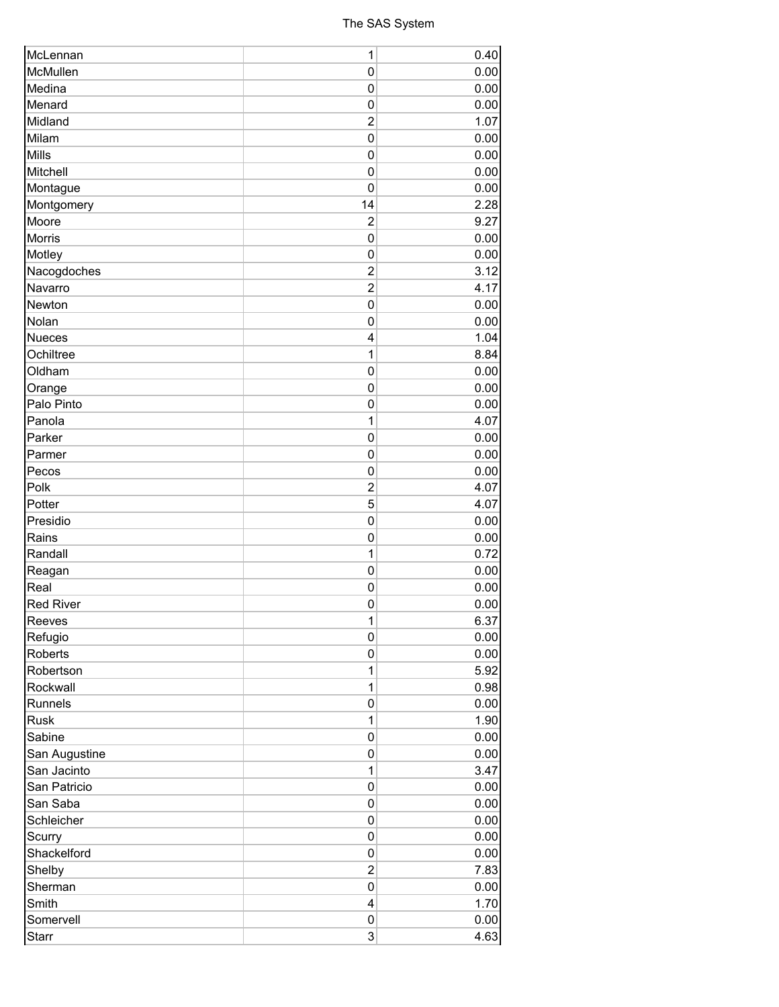| McLennan         | $\mathbf{1}$   | 0.40 |
|------------------|----------------|------|
| McMullen         | 0              | 0.00 |
| Medina           | 0              | 0.00 |
| Menard           | 0              | 0.00 |
| Midland          | $\overline{2}$ | 1.07 |
| Milam            | $\overline{0}$ | 0.00 |
| Mills            | $\mathbf 0$    | 0.00 |
| Mitchell         | $\mathbf 0$    | 0.00 |
| Montague         | 0              | 0.00 |
| Montgomery       | 14             | 2.28 |
| Moore            | $\overline{2}$ | 9.27 |
| <b>Morris</b>    | $\mathbf 0$    | 0.00 |
| Motley           | $\mathbf 0$    | 0.00 |
| Nacogdoches      | $\overline{2}$ | 3.12 |
| Navarro          | $\overline{2}$ | 4.17 |
| Newton           | $\mathbf 0$    | 0.00 |
| Nolan            | $\mathbf 0$    | 0.00 |
| <b>Nueces</b>    | $\overline{4}$ | 1.04 |
| Ochiltree        | 1              | 8.84 |
| Oldham           |                |      |
|                  | 0              | 0.00 |
| Orange           | 0              | 0.00 |
| Palo Pinto       | $\mathbf 0$    | 0.00 |
| Panola           | $\mathbf{1}$   | 4.07 |
| Parker           | $\mathbf 0$    | 0.00 |
| Parmer           | $\mathbf 0$    | 0.00 |
| Pecos            | 0              | 0.00 |
| Polk             | $\overline{2}$ | 4.07 |
| Potter           | 5              | 4.07 |
| Presidio         | $\overline{0}$ | 0.00 |
| Rains            | $\mathbf 0$    | 0.00 |
| Randall          | $\mathbf{1}$   | 0.72 |
| Reagan           | 0              | 0.00 |
| Real             | $\mathbf 0$    | 0.00 |
| <b>Red River</b> | $\mathbf 0$    | 0.00 |
| Reeves           | 1              | 6.37 |
| Refugio          | $\mathbf 0$    | 0.00 |
| Roberts          | 0              | 0.00 |
| Robertson        | $\mathbf{1}$   | 5.92 |
| Rockwall         | $\mathbf{1}$   | 0.98 |
| Runnels          | $\pmb{0}$      | 0.00 |
| <b>Rusk</b>      | $\mathbf{1}$   | 1.90 |
| Sabine           | 0              | 0.00 |
| San Augustine    | 0              | 0.00 |
| San Jacinto      | $\mathbf{1}$   | 3.47 |
| San Patricio     | $\mathbf 0$    | 0.00 |
| San Saba         | 0              | 0.00 |
| Schleicher       | 0              | 0.00 |
| Scurry           | 0              | 0.00 |
| Shackelford      | 0              | 0.00 |
| Shelby           | $\overline{2}$ | 7.83 |
| Sherman          | $\pmb{0}$      |      |
|                  |                | 0.00 |
| Smith            | 4              | 1.70 |
| Somervell        | 0              | 0.00 |
| <b>Starr</b>     | 3              | 4.63 |